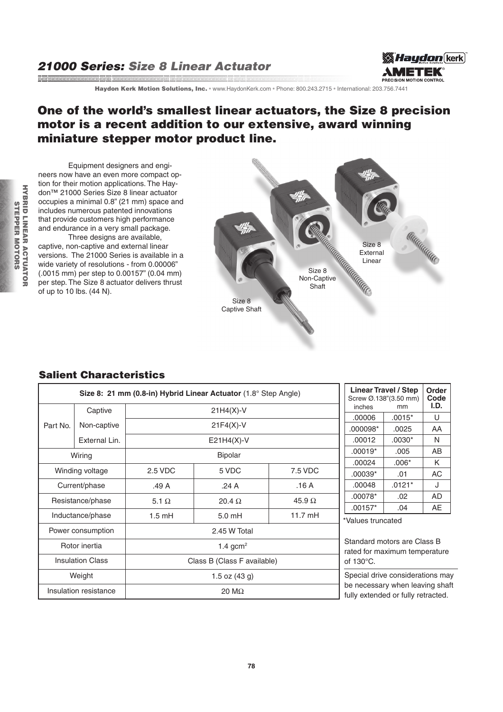## 21000 Series: Size 8 Linear Actuator and the contract of the contract of the contract of the contract of the contract of the contract of the contract of the contract of the contract of the contract of the contract of the contract of the contract of the contra



Haydon Kerk Motion Solutions, Inc. · www.HaydonKerk.com · Phone: 800.243.2715 · International: 203.756.7441

## One of the world's smallest linear actuators, the Size 8 precision motor is a recent addition to our extensive, award winning miniature stepper motor product line.

Equipment designers and engineers now have an even more compact option for their motion applications. The Haydon™ 21000 Series Size 8 linear actuator occupies a minimal 0.8" (21 mm) space and includes numerous patented innovations that provide customers high performance and endurance in a very small package. Three designs are available.

captive, non-captive and external linear versions. The 21000 Series is available in a wide variety of resolutions - from 0.00006" (.0015 mm) per step to 0.00157" (0.04 mm) per step. The Size 8 actuator delivers thrust of up to 10 lbs. (44 N).



## Salient Characteristics

| Size 8: 21 mm (0.8-in) Hybrid Linear Actuator (1.8° Step Angle) |                       |                             |                                                            |               | <b>Linear Travel / Step</b><br>Screw Ø.138"(3.50 mm)<br>inches<br>mm                |          | <b>Order</b><br>Code<br>I.D. |
|-----------------------------------------------------------------|-----------------------|-----------------------------|------------------------------------------------------------|---------------|-------------------------------------------------------------------------------------|----------|------------------------------|
| Part No.                                                        | Captive               | $21H4(X)-V$                 |                                                            |               | .00006                                                                              | $.0015*$ | U                            |
|                                                                 | Non-captive           | $21F4(X)-V$                 |                                                            |               | .000098*                                                                            | .0025    | AA                           |
|                                                                 | External Lin.         | $E21H4(X)-V$                |                                                            |               | .00012                                                                              | $.0030*$ | N                            |
| Wiring                                                          |                       | <b>Bipolar</b>              |                                                            |               | $.00019*$                                                                           | .005     | AB                           |
|                                                                 |                       |                             |                                                            |               | .00024                                                                              | $.006*$  | K                            |
| Winding voltage                                                 |                       | 2.5 VDC                     | 5 VDC                                                      | 7.5 VDC       | $.00039*$                                                                           | .01      | <b>AC</b>                    |
| Current/phase                                                   |                       | .49 A                       | .24 A                                                      | .16A          | .00048                                                                              | $.0121*$ | J                            |
| Resistance/phase                                                |                       | 5.1 $\Omega$                | $20.4 \Omega$                                              | 45.9 $\Omega$ | .00078*                                                                             | .02      | AD                           |
|                                                                 |                       |                             |                                                            |               | $.00157*$                                                                           | .04      | AE                           |
| Inductance/phase                                                |                       | $1.5 \text{ mH}$            | $11.7 \text{ mH}$<br>$5.0 \text{ mH}$<br>*Values truncated |               |                                                                                     |          |                              |
| Power consumption                                               |                       | 2.45 W Total                |                                                            |               |                                                                                     |          |                              |
| Rotor inertia                                                   |                       | 1.4 gcm <sup>2</sup>        |                                                            |               | Standard motors are Class B<br>rated for maximum temperature<br>of $130^{\circ}$ C. |          |                              |
| <b>Insulation Class</b>                                         |                       | Class B (Class F available) |                                                            |               |                                                                                     |          |                              |
| Weight                                                          |                       | 1.5 oz $(43 g)$             |                                                            |               | Special drive considerations may                                                    |          |                              |
|                                                                 | Insulation resistance | 20 $M\Omega$                |                                                            |               | be necessary when leaving shaft<br>fully extended or fully retracted.               |          |                              |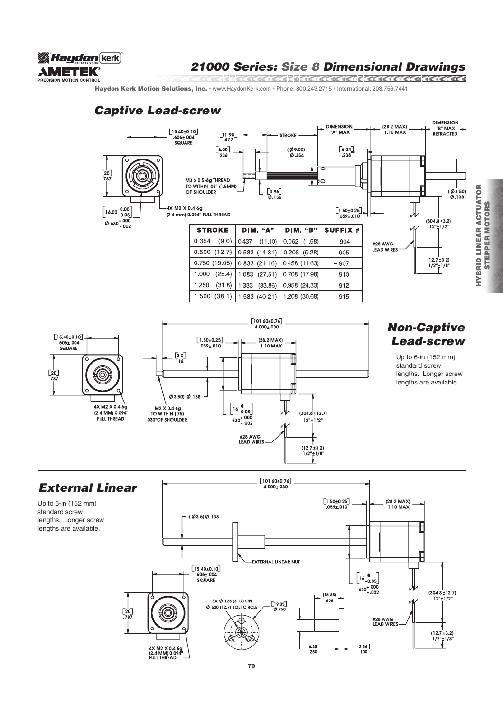

#### 21000 Series: Size 8 Dimensional Drawings and the communication of the communication of the communication of the communication of the communication of t<br>In the communication of the communication of the communication of the communication of the communication of th

Haydon Kerk Motion Solutions, Inc. · www.HaydonKerk.com · Phone: 800.243.2715 · International: 203.756.7441

# Captive Lead-screw





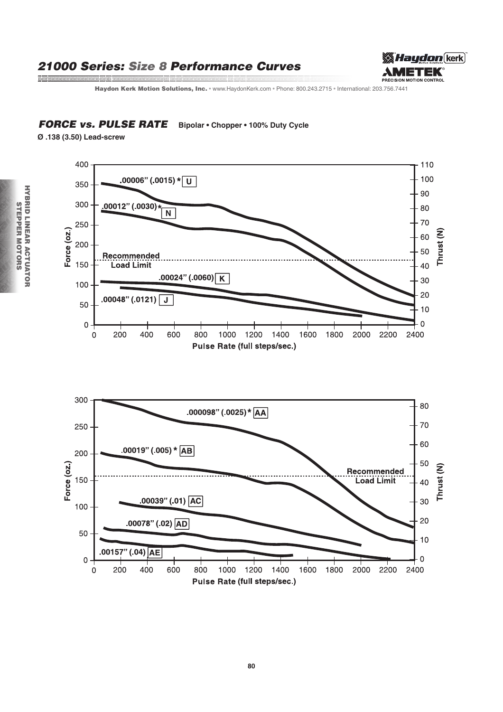## 21000 Series: Size 8 Performance Curves

and a series of the communication of the communication of the communication of the communication of the communication



Haydon Kerk Motion Solutions, Inc. · www.HaydonKerk.com · Phone: 800.243.2715 · International: 203.756.7441

#### **FORCE vs. PULSE RATE** Bipolar • Chopper • 100% Duty Cycle

Ø.138 (3.50) Lead-screw